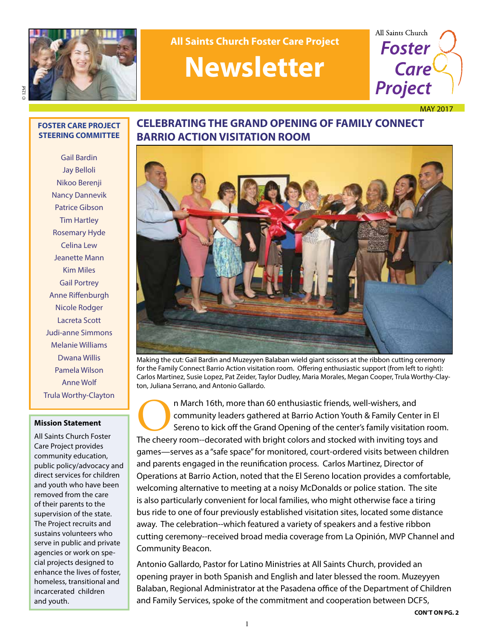

**All Saints Church Foster Care Project**

## **Newsletter**



MAY 2017

© 123rf

#### **FOSTER CARE PROJECT STEERING COMMITTEE**

Gail Bardin Jay Belloli Nikoo Berenji Nancy Dannevik Patrice Gibson Tim Hartley Rosemary Hyde Celina Lew Jeanette Mann Kim Miles Gail Portrey Anne Riffenburgh Nicole Rodger Lacreta Scott Judi-anne Simmons Melanie Williams Dwana Willis Pamela Wilson Anne Wolf Trula Worthy-Clayton

#### **Mission Statement**

All Saints Church Foster Care Project provides community education, public policy/advocacy and direct services for children and youth who have been removed from the care of their parents to the supervision of the state. The Project recruits and sustains volunteers who serve in public and private agencies or work on special projects designed to enhance the lives of foster, homeless, transitional and incarcerated children and youth.

## **CELEBRATING THE GRAND OPENING OF FAMILY CONNECT BARRIO ACTION VISITATION ROOM**



Making the cut: Gail Bardin and Muzeyyen Balaban wield giant scissors at the ribbon cutting ceremony for the Family Connect Barrio Action visitation room. Offering enthusiastic support (from left to right): Carlos Martinez, Susie Lopez, Pat Zeider, Taylor Dudley, Maria Morales, Megan Cooper, Trula Worthy-Clayton, Juliana Serrano, and Antonio Gallardo.

**ORE A The Cheery Contains and Community leaders gathered at Barrio Action Youth & Family Center in El Sereno to kick off the Grand Opening of the center's family visitation roothe cheery room--decorated with bright colors** community leaders gathered at Barrio Action Youth & Family Center in El Sereno to kick off the Grand Opening of the center's family visitation room. games—serves as a "safe space" for monitored, court-ordered visits between children and parents engaged in the reunification process. Carlos Martinez, Director of Operations at Barrio Action, noted that the El Sereno location provides a comfortable, welcoming alternative to meeting at a noisy McDonalds or police station. The site is also particularly convenient for local families, who might otherwise face a tiring bus ride to one of four previously established visitation sites, located some distance away. The celebration--which featured a variety of speakers and a festive ribbon cutting ceremony--received broad media coverage from La Opinión, MVP Channel and Community Beacon.

Antonio Gallardo, Pastor for Latino Ministries at All Saints Church, provided an opening prayer in both Spanish and English and later blessed the room. Muzeyyen Balaban, Regional Administrator at the Pasadena office of the Department of Children and Family Services, spoke of the commitment and cooperation between DCFS,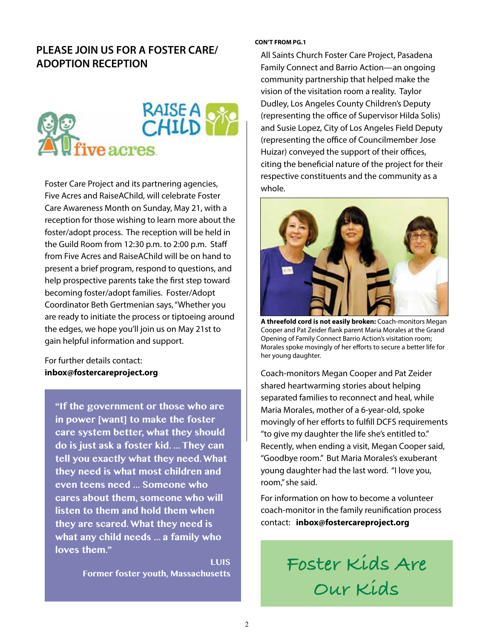## **PLEASE JOIN US FOR A FOSTER CARE/ ADOPTION RECEPTION**



Foster Care Project and its partnering agencies, Five Acres and RaiseAChild, will celebrate Foster Care Awareness Month on Sunday, May 21, with a reception for those wishing to learn more about the foster/adopt process. The reception will be held in the Guild Room from 12:30 p.m. to 2:00 p.m. Staff from Five Acres and RaiseAChild will be on hand to present a brief program, respond to questions, and help prospective parents take the first step toward becoming foster/adopt families. Foster/Adopt Coordinator Beth Gertmenian says, "Whether you are ready to initiate the process or tiptoeing around the edges, we hope you'll join us on May 21st to gain helpful information and support.

For further details contact: **inbox@fostercareproject.org**

**"If the government or those who are in power [want] to make the foster care system better, what they should do is just ask a foster kid. ... They can tell you exactly what they need. What they need is what most children and even teens need ... Someone who cares about them, someone who will listen to them and hold them when they are scared. What they need is what any child needs ... a family who loves them."**

**LUIS**<br>Former foster youth, Massachusetts

#### **CON'T FROM PG.1**

All Saints Church Foster Care Project, Pasadena Family Connect and Barrio Action—an ongoing community partnership that helped make the vision of the visitation room a reality. Taylor Dudley, Los Angeles County Children's Deputy (representing the office of Supervisor Hilda Solis) and Susie Lopez, City of Los Angeles Field Deputy (representing the office of Councilmember Jose Huizar) conveyed the support of their offices, citing the beneficial nature of the project for their respective constituents and the community as a whole.



**A threefold cord is not easily broken:** Coach-monitors Megan Cooper and Pat Zeider flank parent Maria Morales at the Grand Opening of Family Connect Barrio Action's visitation room; Morales spoke movingly of her efforts to secure a better life for her young daughter.

Coach-monitors Megan Cooper and Pat Zeider shared heartwarming stories about helping separated families to reconnect and heal, while Maria Morales, mother of a 6-year-old, spoke movingly of her efforts to fulfill DCFS requirements "to give my daughter the life she's entitled to." Recently, when ending a visit, Megan Cooper said, "Goodbye room." But Maria Morales's exuberant young daughter had the last word. "I love you, room," she said.

For information on how to become a volunteer coach-monitor in the family reunification process contact: **inbox@fostercareproject.org**

> Foster Kids Are **Our Kids**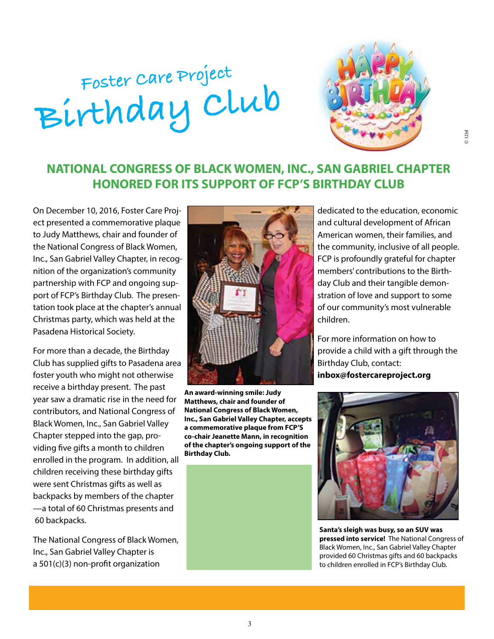# **Foster Care Project Birthday Clu<sup>b</sup>**



## **NATIONAL CONGRESS OF BLACK WOMEN, INC., SAN GABRIEL CHAPTER HONORED FOR ITS SUPPORT OF FCP'S BIRTHDAY CLUB**

On December 10, 2016, Foster Care Project presented a commemorative plaque to Judy Matthews, chair and founder of the National Congress of Black Women, Inc., San Gabriel Valley Chapter, in recognition of the organization's community partnership with FCP and ongoing support of FCP's Birthday Club. The presentation took place at the chapter's annual Christmas party, which was held at the Pasadena Historical Society.

For more than a decade, the Birthday Club has supplied gifts to Pasadena area foster youth who might not otherwise receive a birthday present. The past year saw a dramatic rise in the need for contributors, and National Congress of Black Women, Inc., San Gabriel Valley Chapter stepped into the gap, providing five gifts a month to children enrolled in the program. In addition, all children receiving these birthday gifts were sent Christmas gifts as well as backpacks by members of the chapter —a total of 60 Christmas presents and 60 backpacks.

The National Congress of Black Women, Inc., San Gabriel Valley Chapter is a 501(c)(3) non-profit organization



**An award-winning smile: Judy Matthews, chair and founder of National Congress of Black Women, Inc., San Gabriel Valley Chapter, accepts a commemorative plaque from FCP'S co-chair Jeanette Mann, in recognition of the chapter's ongoing support of the Birthday Club.**

dedicated to the education, economic and cultural development of African American women, their families, and the community, inclusive of all people. FCP is profoundly grateful for chapter members' contributions to the Birthday Club and their tangible demonstration of love and support to some of our community's most vulnerable children.

For more information on how to provide a child with a gift through the Birthday Club, contact: **inbox@fostercareproject.org**



**Santa's sleigh was busy, so an SUV was pressed into service!** The National Congress of Black Women, Inc., San Gabriel Valley Chapter provided 60 Christmas gifts and 60 backpacks to children enrolled in FCP's Birthday Club.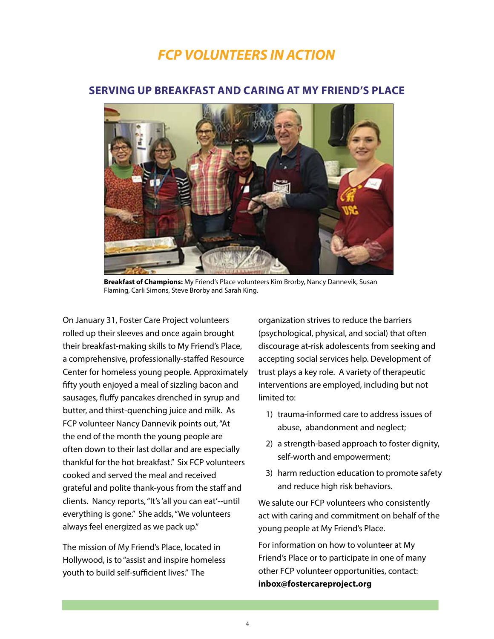## *FCP VOLUNTEERS IN ACTION*



### **SERVING UP BREAKFAST AND CARING AT MY FRIEND'S PLACE**

**Breakfast of Champions:** My Friend's Place volunteers Kim Brorby, Nancy Dannevik, Susan Flaming, Carli Simons, Steve Brorby and Sarah King.

On January 31, Foster Care Project volunteers rolled up their sleeves and once again brought their breakfast-making skills to My Friend's Place, a comprehensive, professionally-staffed Resource Center for homeless young people. Approximately fifty youth enjoyed a meal of sizzling bacon and sausages, fluffy pancakes drenched in syrup and butter, and thirst-quenching juice and milk. As FCP volunteer Nancy Dannevik points out, "At the end of the month the young people are often down to their last dollar and are especially thankful for the hot breakfast." Six FCP volunteers cooked and served the meal and received grateful and polite thank-yous from the staff and clients. Nancy reports, "It's 'all you can eat'--until everything is gone." She adds, "We volunteers always feel energized as we pack up."

The mission of My Friend's Place, located in Hollywood, is to "assist and inspire homeless youth to build self-sufficient lives." The

organization strives to reduce the barriers (psychological, physical, and social) that often discourage at-risk adolescents from seeking and accepting social services help. Development of trust plays a key role. A variety of therapeutic interventions are employed, including but not limited to:

- 1) trauma-informed care to address issues of abuse, abandonment and neglect;
- 2) a strength-based approach to foster dignity, self-worth and empowerment;
- 3) harm reduction education to promote safety and reduce high risk behaviors.

We salute our FCP volunteers who consistently act with caring and commitment on behalf of the young people at My Friend's Place.

For information on how to volunteer at My Friend's Place or to participate in one of many other FCP volunteer opportunities, contact: **inbox@fostercareproject.org**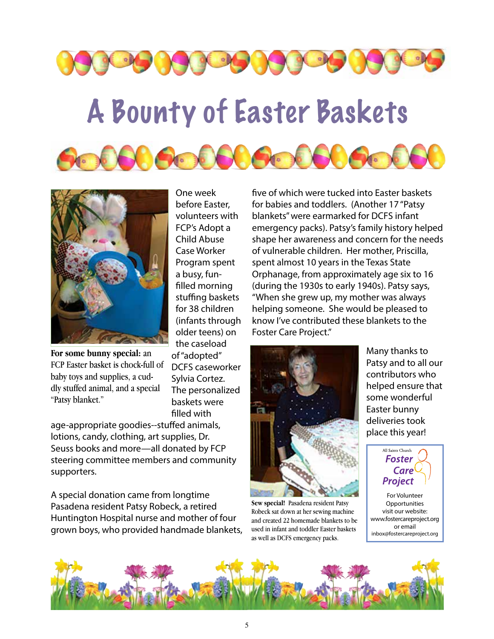

## A Bounty of Easter Baskets





**For some bunny special:** an FCP Easter basket is chock-full of baby toys and supplies, a cuddly stuffed animal, and a special "Patsy blanket."

One week before Easter, volunteers with FCP's Adopt a Child Abuse Case Worker Program spent a busy, funfilled morning stuffing baskets for 38 children (infants through older teens) on the caseload of "adopted" DCFS caseworker Sylvia Cortez. The personalized baskets were filled with

age-appropriate goodies--stuffed animals, lotions, candy, clothing, art supplies, Dr. Seuss books and more—all donated by FCP steering committee members and community supporters.

A special donation came from longtime Pasadena resident Patsy Robeck, a retired Huntington Hospital nurse and mother of four grown boys, who provided handmade blankets, five of which were tucked into Easter baskets for babies and toddlers. (Another 17 "Patsy blankets" were earmarked for DCFS infant emergency packs). Patsy's family history helped shape her awareness and concern for the needs of vulnerable children. Her mother, Priscilla, spent almost 10 years in the Texas State Orphanage, from approximately age six to 16 (during the 1930s to early 1940s). Patsy says, "When she grew up, my mother was always helping someone. She would be pleased to know I've contributed these blankets to the Foster Care Project."



**Sew special!** Pasadena resident Patsy Robeck sat down at her sewing machine and created 22 homemade blankets to be used in infant and toddler Easter baskets as well as DCFS emergency packs.

Many thanks to Patsy and to all our contributors who helped ensure that some wonderful Easter bunny deliveries took place this year!



For Volunteer **Opportunities** visit our website: www.fostercareproject.org or email inbox@fostercareproject.org